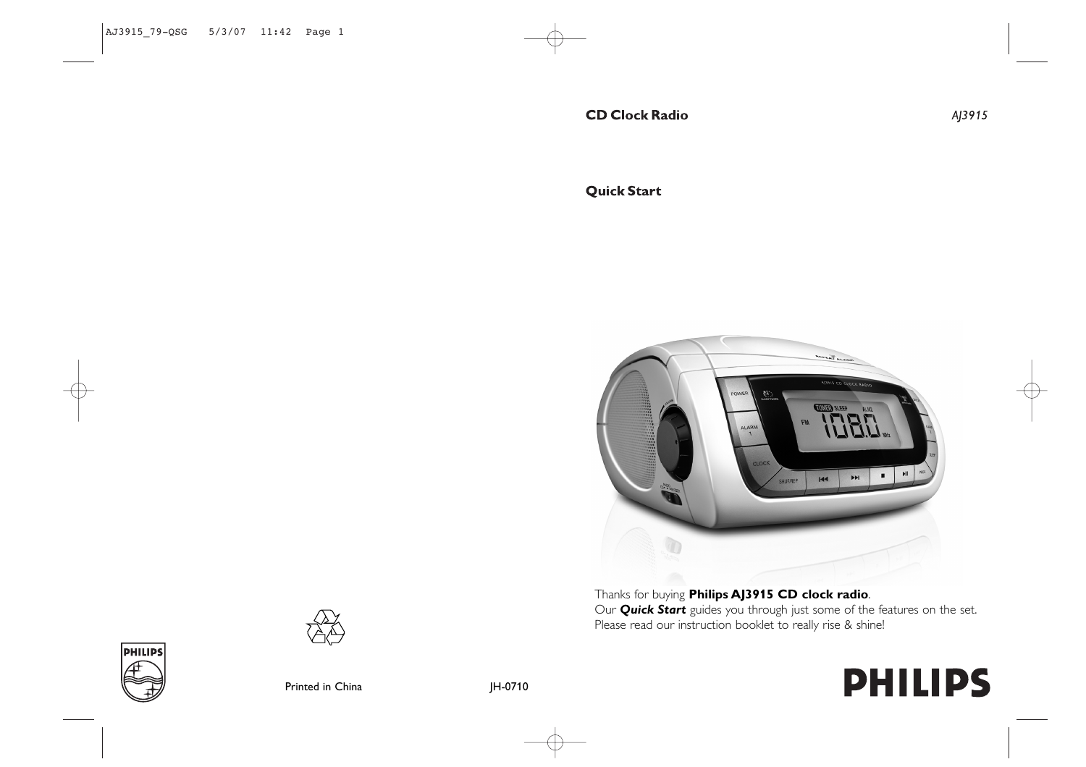**Quick Start** 



Thanks for buying **Philips AJ3915 CD clock radio**. Our *Quick Start* guides you through just some of the features on the set. Please read our instruction booklet to really rise & shine!

# **PHILIPS**

AJ3915